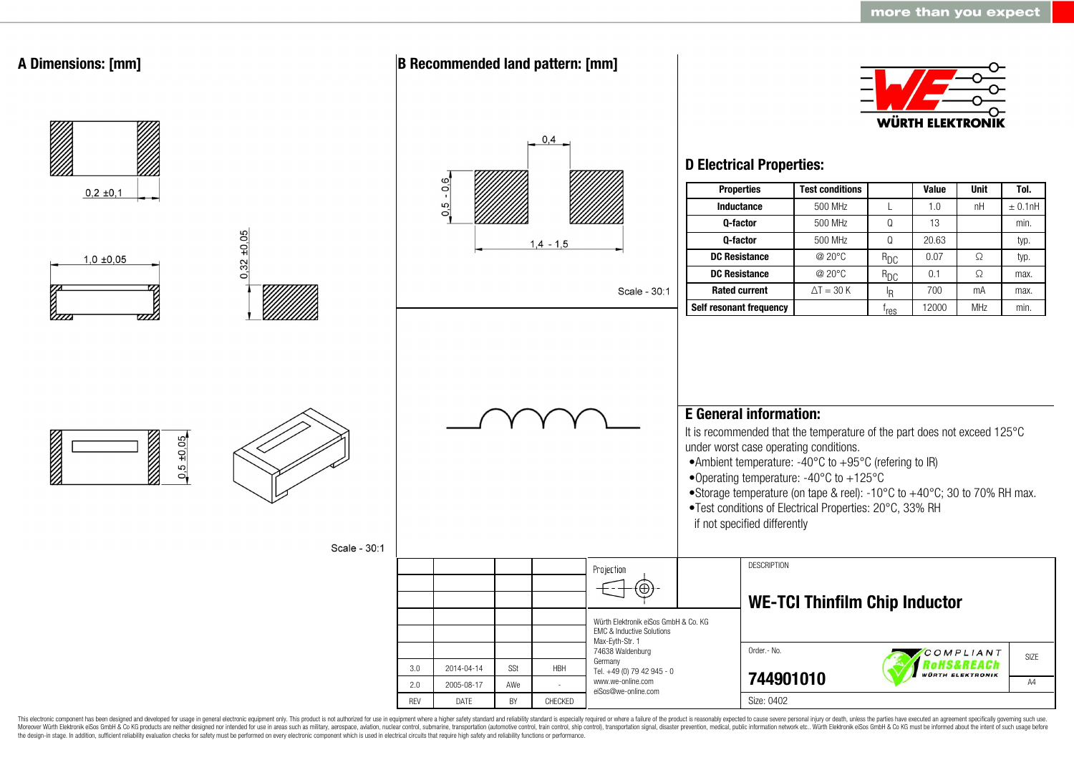

This electronic component has been designed and developed for usage in general electronic equipment only. This product is not authorized for use in equipment where a higher safety standard and reliability standard is espec Moreover Würth Elektronik eiSos GmbH & Co KG products are neither designed nor intended for use in areas such as military, aerospace, aviation, nuclear control, submarine, transportation (automotive control, ship control), the design-in stage. In addition, sufficient reliability evaluation checks for safety must be performed on every electronic component which is used in electrical circuits that require high safety and reliability functions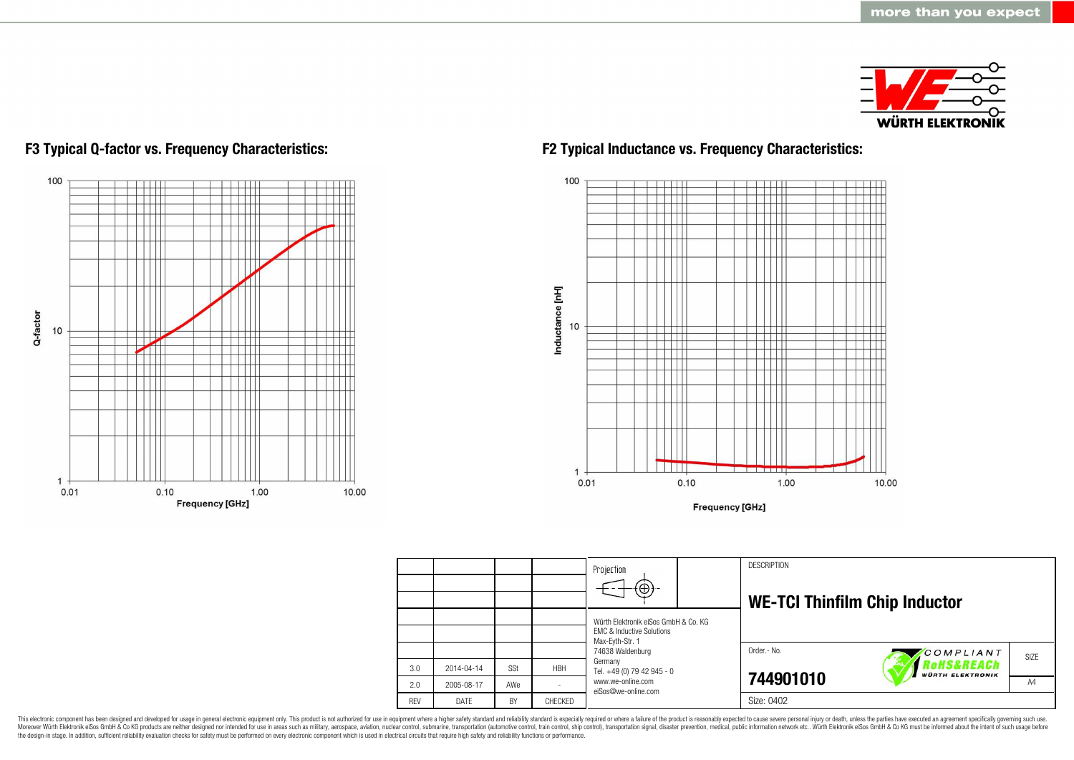



## **F3 Typical Q-factor vs. Frequency Characteristics: F2 Typical Inductance vs. Frequency Characteristics:**



|            |             |     |            | Projection                                              | <b>DESCRIPTION</b>                   |                                                         |      |  |
|------------|-------------|-----|------------|---------------------------------------------------------|--------------------------------------|---------------------------------------------------------|------|--|
|            |             |     |            | $\left( \oplus \right)$                                 |                                      |                                                         |      |  |
|            |             |     |            |                                                         | <b>WE-TCI Thinfilm Chip Inductor</b> |                                                         |      |  |
|            |             |     |            | Würth Elektronik eiSos GmbH & Co. KG                    |                                      |                                                         |      |  |
|            |             |     |            | <b>EMC &amp; Inductive Solutions</b><br>Max-Eyth-Str. 1 |                                      |                                                         |      |  |
|            |             |     |            | 74638 Waldenburg                                        | Order.- No.                          | COMPLIANT                                               | SIZE |  |
| 3.0        | 2014-04-14  | SSt | <b>HBH</b> | Germany<br>Tel. +49 (0) 79 42 945 - 0                   |                                      | <i><b>loHS&amp;REACh</b></i><br><b>WÜRTH ELEKTRONIK</b> |      |  |
| 2.0        | 2005-08-17  | AWe |            | www.we-online.com<br>eiSos@we-online.com                | 744901010                            |                                                         | A4   |  |
| <b>RFV</b> | <b>DATF</b> | BY  | CHECKED    |                                                         | Size: 0402                           |                                                         |      |  |

This electronic component has been designed and developed for usage in general electronic equipment only. This product is not authorized for use in equipment where a higher safety standard and reliability standard is espec Moreover Würth Elektronik eiSos GmbH & Co KG products are neither designed nor intended for use in areas such as military, aerospace, aviation, nuclear control, submarine, transportation (automotive control), stain control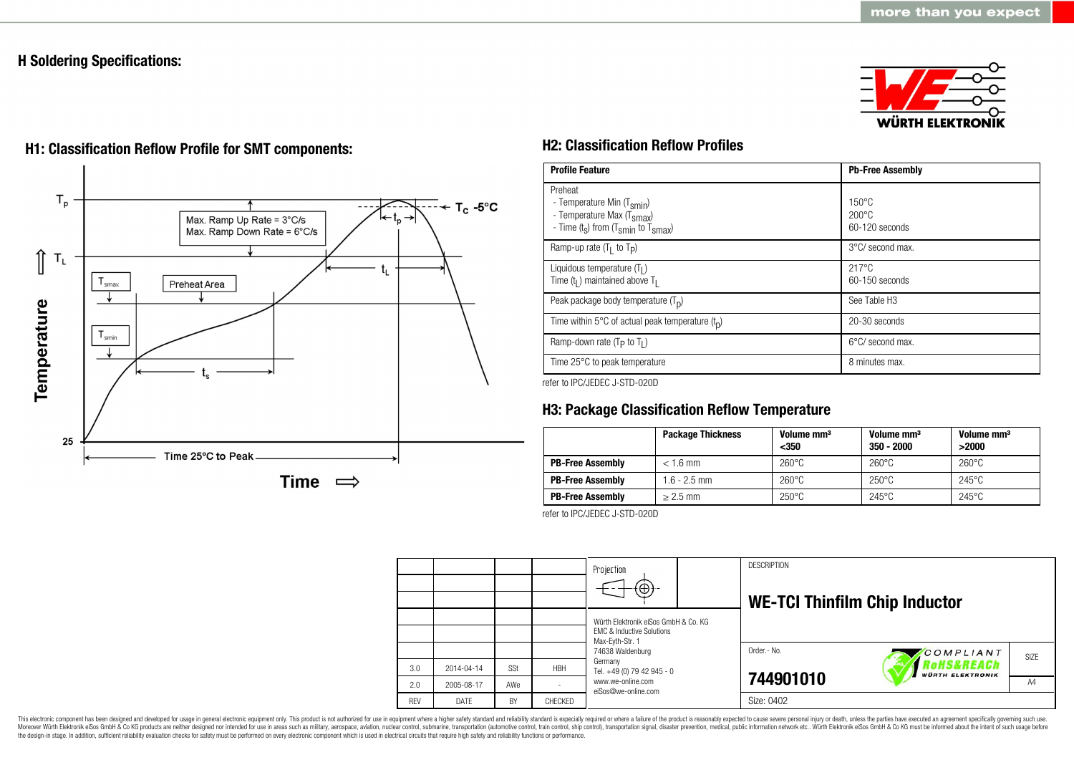## **H Soldering Specifications:**





# **H1: Classification Reflow Profile for SMT components: H2: Classification Reflow Profiles**

| <b>Profile Feature</b>                                                                                                                        | <b>Pb-Free Assembly</b>                                |  |  |
|-----------------------------------------------------------------------------------------------------------------------------------------------|--------------------------------------------------------|--|--|
| Preheat<br>- Temperature Min (T <sub>smin</sub> )<br>- Temperature Max (T <sub>Smax</sub> )<br>- Time $(t_s)$ from $(T_{smin}$ to $T_{smax})$ | $150^{\circ}$ C<br>$200^{\circ}$ C<br>$60-120$ seconds |  |  |
| Ramp-up rate $(T_1$ to $T_p$ )                                                                                                                | $3^{\circ}$ C/ second max.                             |  |  |
| Liquidous temperature $(T1)$<br>Time $(tl)$ maintained above T <sub>1</sub>                                                                   | $217^{\circ}$ C<br>$60-150$ seconds                    |  |  |
| Peak package body temperature $(T_n)$                                                                                                         | See Table H <sub>3</sub>                               |  |  |
| Time within 5 $\degree$ C of actual peak temperature $(t_0)$                                                                                  | 20-30 seconds                                          |  |  |
| Ramp-down rate ( $T_P$ to $T_I$ )                                                                                                             | $6^{\circ}$ C/ second max.                             |  |  |
| Time 25°C to peak temperature                                                                                                                 | 8 minutes max.                                         |  |  |

refer to IPC/JEDEC J-STD-020D

## **H3: Package Classification Reflow Temperature**

|                         | <b>Package Thickness</b> | Volume mm <sup>3</sup><br>$350$ | Volume mm <sup>3</sup><br>$350 - 2000$ | Volume mm <sup>3</sup><br>>2000 |
|-------------------------|--------------------------|---------------------------------|----------------------------------------|---------------------------------|
| <b>PB-Free Assembly</b> | $< 1.6$ mm               | $260^{\circ}$ C                 | $260^{\circ}$ C                        | $260^{\circ}$ C                 |
| <b>PB-Free Assembly</b> | $1.6 - 2.5$ mm           | $260^{\circ}$ C                 | $250^{\circ}$ C                        | $245^{\circ}$ C                 |
| <b>PB-Free Assembly</b> | $> 2.5$ mm               | $250^{\circ}$ C                 | $245^{\circ}$ C                        | $245^{\circ}$ C                 |

refer to IPC/JEDEC J-STD-020D



This electronic component has been designed and developed for usage in general electronic equipment only. This product is not authorized for use in equipment where a higher safety standard and reliability standard is espec Moreover Würth Elektronik eiSos GmbH & Co KG products are neither designed nor intended for use in areas such as military, aerospace, aviation, nuclear control, submarine, transportation (automotive control, ship control), the design-in stage. In addition, sufficient reliability evaluation checks for safety must be performed on every electronic component which is used in electrical circuits that require high safety and reliability functions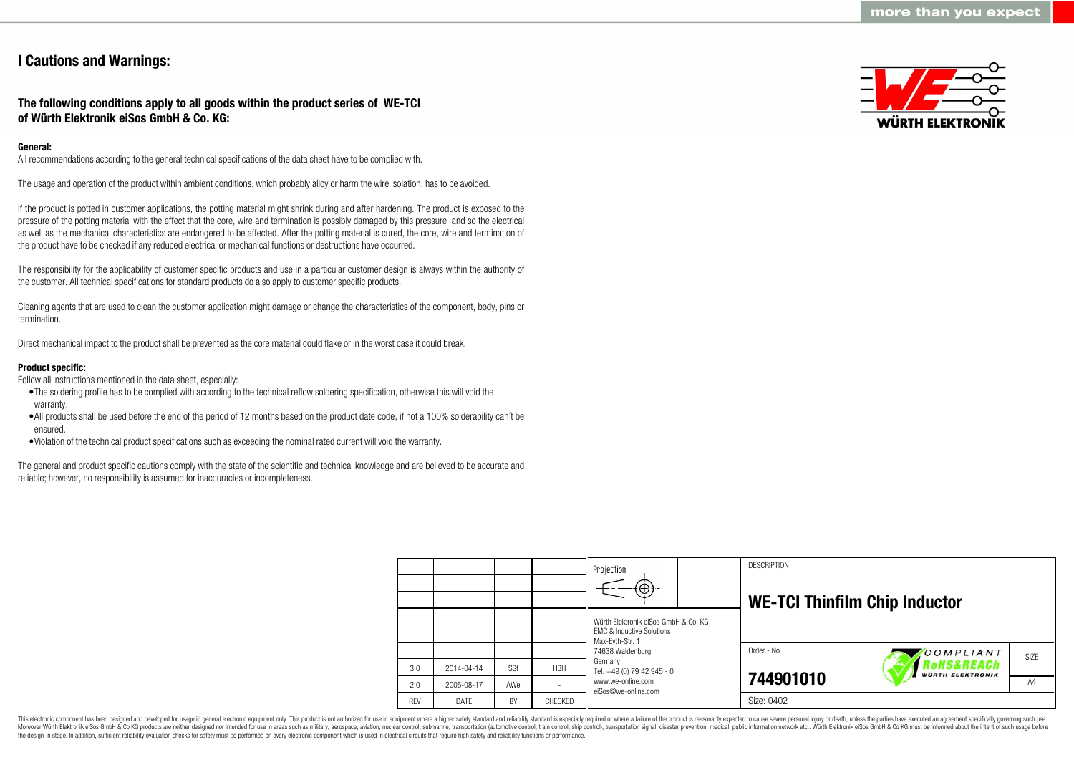## **I Cautions and Warnings:**

## **The following conditions apply to all goods within the product series of WE-TCI of Würth Elektronik eiSos GmbH & Co. KG:**

## **General:**

All recommendations according to the general technical specifications of the data sheet have to be complied with.

The usage and operation of the product within ambient conditions, which probably alloy or harm the wire isolation, has to be avoided.

If the product is potted in customer applications, the potting material might shrink during and after hardening. The product is exposed to the pressure of the potting material with the effect that the core, wire and termination is possibly damaged by this pressure and so the electrical as well as the mechanical characteristics are endangered to be affected. After the potting material is cured, the core, wire and termination of the product have to be checked if any reduced electrical or mechanical functions or destructions have occurred.

The responsibility for the applicability of customer specific products and use in a particular customer design is always within the authority of the customer. All technical specifications for standard products do also apply to customer specific products.

Cleaning agents that are used to clean the customer application might damage or change the characteristics of the component, body, pins or termination.

Direct mechanical impact to the product shall be prevented as the core material could flake or in the worst case it could break.

## **Product specific:**

Follow all instructions mentioned in the data sheet, especially:

- •The soldering profile has to be complied with according to the technical reflow soldering specification, otherwise this will void the warranty.
- •All products shall be used before the end of the period of 12 months based on the product date code, if not a 100% solderability can´t be ensured.
- •Violation of the technical product specifications such as exceeding the nominal rated current will void the warranty.

The general and product specific cautions comply with the state of the scientific and technical knowledge and are believed to be accurate and reliable; however, no responsibility is assumed for inaccuracies or incompleteness.



|            |            |            |            | Projection<br>$\Theta$                                                                          |  | <b>DESCRIPTION</b><br><b>WE-TCI Thinfilm Chip Inductor</b> |                                       |      |
|------------|------------|------------|------------|-------------------------------------------------------------------------------------------------|--|------------------------------------------------------------|---------------------------------------|------|
|            |            |            |            | Würth Elektronik eiSos GmbH & Co. KG<br><b>FMC &amp; Inductive Solutions</b><br>Max-Eyth-Str. 1 |  |                                                            |                                       |      |
|            |            |            |            | 74638 Waldenburg                                                                                |  | Order.- No.                                                | COMPLIANT                             | SIZE |
| 3.0        | 2014-04-14 | <b>SSt</b> | <b>HBH</b> | Germany<br>Tel. +49 (0) 79 42 945 - 0                                                           |  |                                                            | RoHS&REACh<br><b>WÜRTH ELEKTRONIK</b> |      |
| 2.0        | 2005-08-17 | AWe        |            | www.we-online.com<br>eiSos@we-online.com                                                        |  | 744901010                                                  |                                       | A4   |
| <b>REV</b> | DATE       | BY         | CHECKED    |                                                                                                 |  | Size: 0402                                                 |                                       |      |

This electronic component has been designed and developed for usage in general electronic equipment only. This product is not authorized for use in equipment where a higher safety standard and reliability standard is espec Moreover Würth Elektronik eiSos GmbH & Co KG products are neither designed nor intended for use in areas such as military, aerospace, aviation, nuclear control, submarine, transportation (automotive control), tain control) the design-in stage. In addition, sufficient reliability evaluation checks for safety must be performed on every electronic component which is used in electrical circuits that require high safety and reliability functions